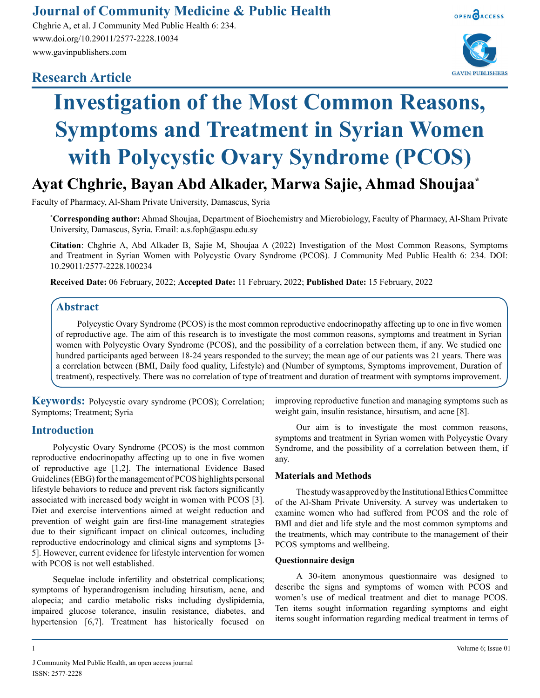# **Journal of Community Medicine & Public Health**

Chghrie A, et al. J Community Med Public Health 6: 234. www.doi.org/10.29011/2577-2228.10034 www.gavinpublishers.com

# **Research Article**



OPEN OACCESS

**GAVIN PUBLISHERS** 

# **Investigation of the Most Common Reasons, Symptoms and Treatment in Syrian Women with Polycystic Ovary Syndrome (PCOS)**

**Ayat Chghrie, Bayan Abd Alkader, Marwa Sajie, Ahmad Shoujaa\***

Faculty of Pharmacy, Al-Sham Private University, Damascus, Syria

**\* Corresponding author:** Ahmad Shoujaa, Department of Biochemistry and Microbiology, Faculty of Pharmacy, Al-Sham Private University, Damascus, Syria. Email: a.s.foph@aspu.edu.sy

**Citation**: Chghrie A, Abd Alkader B, Sajie M, Shoujaa A (2022) Investigation of the Most Common Reasons, Symptoms and Treatment in Syrian Women with Polycystic Ovary Syndrome (PCOS). J Community Med Public Health 6: 234. DOI: 10.29011/2577-2228.100234

**Received Date:** 06 February, 2022; **Accepted Date:** 11 February, 2022; **Published Date:** 15 February, 2022

## **Abstract**

Polycystic Ovary Syndrome (PCOS) is the most common reproductive endocrinopathy affecting up to one in five women of reproductive age. The aim of this research is to investigate the most common reasons, symptoms and treatment in Syrian women with Polycystic Ovary Syndrome (PCOS), and the possibility of a correlation between them, if any. We studied one hundred participants aged between 18-24 years responded to the survey; the mean age of our patients was 21 years. There was a correlation between (BMI, Daily food quality, Lifestyle) and (Number of symptoms, Symptoms improvement, Duration of treatment), respectively. There was no correlation of type of treatment and duration of treatment with symptoms improvement.

**Keywords:** Polycystic ovary syndrome (PCOS); Correlation; Symptoms; Treatment; Syria

# **Introduction**

Polycystic Ovary Syndrome (PCOS) is the most common reproductive endocrinopathy affecting up to one in five women of reproductive age [1,2]. The international Evidence Based Guidelines (EBG) for the management of PCOS highlights personal lifestyle behaviors to reduce and prevent risk factors significantly associated with increased body weight in women with PCOS [3]. Diet and exercise interventions aimed at weight reduction and prevention of weight gain are first-line management strategies due to their significant impact on clinical outcomes, including reproductive endocrinology and clinical signs and symptoms [3- 5]. However, current evidence for lifestyle intervention for women with PCOS is not well established.

Sequelae include infertility and obstetrical complications; symptoms of hyperandrogenism including hirsutism, acne, and alopecia; and cardio metabolic risks including dyslipidemia, impaired glucose tolerance, insulin resistance, diabetes, and hypertension [6,7]. Treatment has historically focused on improving reproductive function and managing symptoms such as weight gain, insulin resistance, hirsutism, and acne [8].

Our aim is to investigate the most common reasons, symptoms and treatment in Syrian women with Polycystic Ovary Syndrome, and the possibility of a correlation between them, if any.

#### **Materials and Methods**

The study was approved by the Institutional Ethics Committee of the Al-Sham Private University. A survey was undertaken to examine women who had suffered from PCOS and the role of BMI and diet and life style and the most common symptoms and the treatments, which may contribute to the management of their PCOS symptoms and wellbeing.

#### **Questionnaire design**

A 30-item anonymous questionnaire was designed to describe the signs and symptoms of women with PCOS and women's use of medical treatment and diet to manage PCOS. Ten items sought information regarding symptoms and eight items sought information regarding medical treatment in terms of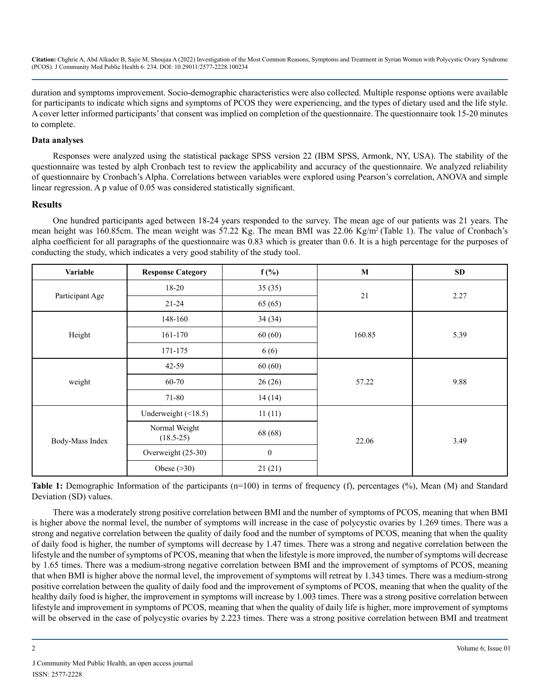duration and symptoms improvement. Socio-demographic characteristics were also collected. Multiple response options were available for participants to indicate which signs and symptoms of PCOS they were experiencing, and the types of dietary used and the life style. A cover letter informed participants' that consent was implied on completion of the questionnaire. The questionnaire took 15-20 minutes to complete.

#### **Data analyses**

Responses were analyzed using the statistical package SPSS version 22 (IBM SPSS, Armonk, NY, USA). The stability of the questionnaire was tested by alph Cronbach test to review the applicability and accuracy of the questionnaire. We analyzed reliability of questionnaire by Cronbach's Alpha. Correlations between variables were explored using Pearson's correlation, ANOVA and simple linear regression. A p value of 0.05 was considered statistically significant.

#### **Results**

One hundred participants aged between 18-24 years responded to the survey. The mean age of our patients was 21 years. The mean height was 160.85cm. The mean weight was 57.22 Kg. The mean BMI was 22.06 Kg/m<sup>2</sup> (Table 1). The value of Cronbach's alpha coefficient for all paragraphs of the questionnaire was 0.83 which is greater than 0.6. It is a high percentage for the purposes of conducting the study, which indicates a very good stability of the study tool.

| Variable        | <b>Response Category</b>     | $f(\%)$          | M      | <b>SD</b> |
|-----------------|------------------------------|------------------|--------|-----------|
| Participant Age | $18 - 20$                    | 35(35)           | 21     | 2.27      |
|                 | $21 - 24$                    | 65 (65)          |        |           |
| Height          | 148-160                      | 34(34)           | 160.85 | 5.39      |
|                 | 161-170                      | 60(60)           |        |           |
|                 | 171-175                      | 6(6)             |        |           |
| weight          | 42-59                        | 60(60)           | 57.22  | 9.88      |
|                 | 60-70                        | 26(26)           |        |           |
|                 | 71-80                        | 14(14)           |        |           |
| Body-Mass Index | Underweight $(\leq 18.5)$    | 11(11)           | 22.06  | 3.49      |
|                 | Normal Weight<br>$(18.5-25)$ | 68 (68)          |        |           |
|                 | Overweight (25-30)           | $\boldsymbol{0}$ |        |           |
|                 | Obese $( >30)$               | 21(21)           |        |           |

**Table 1:** Demographic Information of the participants (n=100) in terms of frequency (f), percentages (%), Mean (M) and Standard Deviation (SD) values.

There was a moderately strong positive correlation between BMI and the number of symptoms of PCOS, meaning that when BMI is higher above the normal level, the number of symptoms will increase in the case of polycystic ovaries by 1.269 times. There was a strong and negative correlation between the quality of daily food and the number of symptoms of PCOS, meaning that when the quality of daily food is higher, the number of symptoms will decrease by 1.47 times. There was a strong and negative correlation between the lifestyle and the number of symptoms of PCOS, meaning that when the lifestyle is more improved, the number of symptoms will decrease by 1.65 times. There was a medium-strong negative correlation between BMI and the improvement of symptoms of PCOS, meaning that when BMI is higher above the normal level, the improvement of symptoms will retreat by 1.343 times. There was a medium-strong positive correlation between the quality of daily food and the improvement of symptoms of PCOS, meaning that when the quality of the healthy daily food is higher, the improvement in symptoms will increase by 1.003 times. There was a strong positive correlation between lifestyle and improvement in symptoms of PCOS, meaning that when the quality of daily life is higher, more improvement of symptoms will be observed in the case of polycystic ovaries by 2.223 times. There was a strong positive correlation between BMI and treatment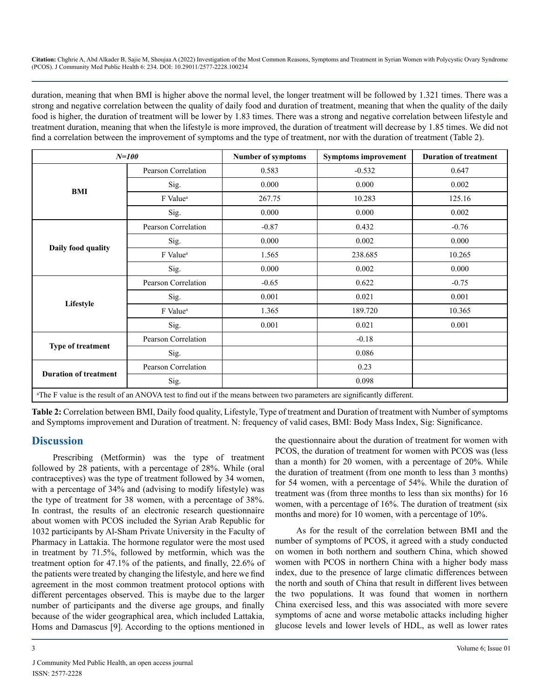duration, meaning that when BMI is higher above the normal level, the longer treatment will be followed by 1.321 times. There was a strong and negative correlation between the quality of daily food and duration of treatment, meaning that when the quality of the daily food is higher, the duration of treatment will be lower by 1.83 times. There was a strong and negative correlation between lifestyle and treatment duration, meaning that when the lifestyle is more improved, the duration of treatment will decrease by 1.85 times. We did not find a correlation between the improvement of symptoms and the type of treatment, nor with the duration of treatment (Table 2).

| $N = 100$                                                                                                                            |                      | <b>Number of symptoms</b> | <b>Symptoms improvement</b> | <b>Duration of treatment</b> |  |
|--------------------------------------------------------------------------------------------------------------------------------------|----------------------|---------------------------|-----------------------------|------------------------------|--|
| BMI                                                                                                                                  | Pearson Correlation  | 0.583                     | $-0.532$                    | 0.647                        |  |
|                                                                                                                                      | Sig.                 | 0.000                     | 0.000                       | 0.002                        |  |
|                                                                                                                                      | F Value <sup>a</sup> | 267.75                    | 10.283                      | 125.16                       |  |
|                                                                                                                                      | Sig.                 | 0.000                     | 0.000                       | 0.002                        |  |
| Daily food quality                                                                                                                   | Pearson Correlation  | $-0.87$                   | 0.432                       | $-0.76$                      |  |
|                                                                                                                                      | Sig.                 | 0.000                     | 0.002                       | 0.000                        |  |
|                                                                                                                                      | F Value <sup>a</sup> | 1.565                     | 238.685                     | 10.265                       |  |
|                                                                                                                                      | Sig.                 | 0.000                     | 0.002                       | 0.000                        |  |
| Lifestyle                                                                                                                            | Pearson Correlation  | $-0.65$                   | 0.622                       | $-0.75$                      |  |
|                                                                                                                                      | Sig.                 | 0.001                     | 0.021                       | 0.001                        |  |
|                                                                                                                                      | F Value <sup>a</sup> | 1.365                     | 189.720                     | 10.365                       |  |
|                                                                                                                                      | Sig.                 | 0.001                     | 0.021                       | 0.001                        |  |
| <b>Type of treatment</b>                                                                                                             | Pearson Correlation  |                           | $-0.18$                     |                              |  |
|                                                                                                                                      | Sig.                 |                           | 0.086                       |                              |  |
| <b>Duration of treatment</b>                                                                                                         | Pearson Correlation  |                           | 0.23                        |                              |  |
|                                                                                                                                      | Sig.                 |                           | 0.098                       |                              |  |
| <sup>a</sup> The F value is the result of an ANOVA test to find out if the means between two parameters are significantly different. |                      |                           |                             |                              |  |

**Table 2:** Correlation between BMI, Daily food quality, Lifestyle, Type of treatment and Duration of treatment with Number of symptoms and Symptoms improvement and Duration of treatment. N: frequency of valid cases, BMI: Body Mass Index, Sig: Significance.

# **Discussion**

Prescribing (Metformin) was the type of treatment followed by 28 patients, with a percentage of 28%. While (oral contraceptives) was the type of treatment followed by 34 women, with a percentage of 34% and (advising to modify lifestyle) was the type of treatment for 38 women, with a percentage of 38%. In contrast, the results of an electronic research questionnaire about women with PCOS included the Syrian Arab Republic for 1032 participants by Al-Sham Private University in the Faculty of Pharmacy in Lattakia. The hormone regulator were the most used in treatment by 71.5%, followed by metformin, which was the treatment option for 47.1% of the patients, and finally, 22.6% of the patients were treated by changing the lifestyle, and here we find agreement in the most common treatment protocol options with different percentages observed. This is maybe due to the larger number of participants and the diverse age groups, and finally because of the wider geographical area, which included Lattakia, Homs and Damascus [9]. According to the options mentioned in

the questionnaire about the duration of treatment for women with PCOS, the duration of treatment for women with PCOS was (less than a month) for 20 women, with a percentage of 20%. While the duration of treatment (from one month to less than 3 months) for 54 women, with a percentage of 54%. While the duration of treatment was (from three months to less than six months) for 16 women, with a percentage of 16%. The duration of treatment (six months and more) for 10 women, with a percentage of 10%.

As for the result of the correlation between BMI and the number of symptoms of PCOS, it agreed with a study conducted on women in both northern and southern China, which showed women with PCOS in northern China with a higher body mass index, due to the presence of large climatic differences between the north and south of China that result in different lives between the two populations. It was found that women in northern China exercised less, and this was associated with more severe symptoms of acne and worse metabolic attacks including higher glucose levels and lower levels of HDL, as well as lower rates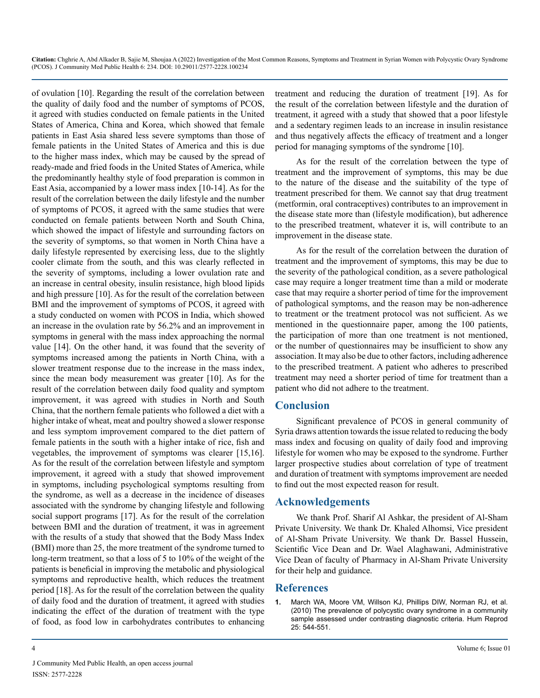of ovulation [10]. Regarding the result of the correlation between the quality of daily food and the number of symptoms of PCOS, it agreed with studies conducted on female patients in the United States of America, China and Korea, which showed that female patients in East Asia shared less severe symptoms than those of female patients in the United States of America and this is due to the higher mass index, which may be caused by the spread of ready-made and fried foods in the United States of America, while the predominantly healthy style of food preparation is common in East Asia, accompanied by a lower mass index [10-14]. As for the result of the correlation between the daily lifestyle and the number of symptoms of PCOS, it agreed with the same studies that were conducted on female patients between North and South China, which showed the impact of lifestyle and surrounding factors on the severity of symptoms, so that women in North China have a daily lifestyle represented by exercising less, due to the slightly cooler climate from the south, and this was clearly reflected in the severity of symptoms, including a lower ovulation rate and an increase in central obesity, insulin resistance, high blood lipids and high pressure [10]. As for the result of the correlation between BMI and the improvement of symptoms of PCOS, it agreed with a study conducted on women with PCOS in India, which showed an increase in the ovulation rate by 56.2% and an improvement in symptoms in general with the mass index approaching the normal value [14]. On the other hand, it was found that the severity of symptoms increased among the patients in North China, with a slower treatment response due to the increase in the mass index, since the mean body measurement was greater [10]. As for the result of the correlation between daily food quality and symptom improvement, it was agreed with studies in North and South China, that the northern female patients who followed a diet with a higher intake of wheat, meat and poultry showed a slower response and less symptom improvement compared to the diet pattern of female patients in the south with a higher intake of rice, fish and vegetables, the improvement of symptoms was clearer [15,16]. As for the result of the correlation between lifestyle and symptom improvement, it agreed with a study that showed improvement in symptoms, including psychological symptoms resulting from the syndrome, as well as a decrease in the incidence of diseases associated with the syndrome by changing lifestyle and following social support programs [17]. As for the result of the correlation between BMI and the duration of treatment, it was in agreement with the results of a study that showed that the Body Mass Index (BMI) more than 25, the more treatment of the syndrome turned to long-term treatment, so that a loss of 5 to 10% of the weight of the patients is beneficial in improving the metabolic and physiological symptoms and reproductive health, which reduces the treatment period [18]. As for the result of the correlation between the quality of daily food and the duration of treatment, it agreed with studies indicating the effect of the duration of treatment with the type of food, as food low in carbohydrates contributes to enhancing

treatment and reducing the duration of treatment [19]. As for the result of the correlation between lifestyle and the duration of treatment, it agreed with a study that showed that a poor lifestyle and a sedentary regimen leads to an increase in insulin resistance and thus negatively affects the efficacy of treatment and a longer period for managing symptoms of the syndrome [10].

As for the result of the correlation between the type of treatment and the improvement of symptoms, this may be due to the nature of the disease and the suitability of the type of treatment prescribed for them. We cannot say that drug treatment (metformin, oral contraceptives) contributes to an improvement in the disease state more than (lifestyle modification), but adherence to the prescribed treatment, whatever it is, will contribute to an improvement in the disease state.

As for the result of the correlation between the duration of treatment and the improvement of symptoms, this may be due to the severity of the pathological condition, as a severe pathological case may require a longer treatment time than a mild or moderate case that may require a shorter period of time for the improvement of pathological symptoms, and the reason may be non-adherence to treatment or the treatment protocol was not sufficient. As we mentioned in the questionnaire paper, among the 100 patients, the participation of more than one treatment is not mentioned, or the number of questionnaires may be insufficient to show any association. It may also be due to other factors, including adherence to the prescribed treatment. A patient who adheres to prescribed treatment may need a shorter period of time for treatment than a patient who did not adhere to the treatment.

# **Conclusion**

Significant prevalence of PCOS in general community of Syria draws attention towards the issue related to reducing the body mass index and focusing on quality of daily food and improving lifestyle for women who may be exposed to the syndrome. Further larger prospective studies about correlation of type of treatment and duration of treatment with symptoms improvement are needed to find out the most expected reason for result.

## **Acknowledgements**

We thank Prof. [Sharif Al Ashkar](https://www.facebook.com/sharif.alashkar), the president of Al-Sham Private University. We thank Dr. Khaled Alhomsi, Vice president of Al-Sham Private University. We thank Dr. Bassel Hussein, Scientific Vice Dean and Dr. Wael Alaghawani, Administrative Vice Dean of faculty of Pharmacy in Al-Sham Private University for their help and guidance.

## **References**

**1.** [March WA, Moore VM, Willson KJ, Phillips DIW, Norman RJ, et al.](https://pubmed.ncbi.nlm.nih.gov/19910321/)  [\(2010\) The prevalence of polycystic ovary syndrome in a community](https://pubmed.ncbi.nlm.nih.gov/19910321/)  [sample assessed under contrasting diagnostic criteria. Hum Reprod](https://pubmed.ncbi.nlm.nih.gov/19910321/)  [25: 544-551.](https://pubmed.ncbi.nlm.nih.gov/19910321/)